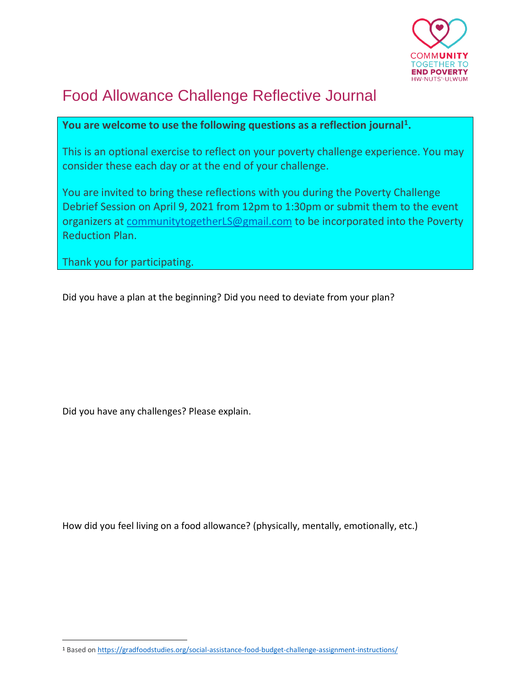

## Food Allowance Challenge Reflective Journal

## **You are welcome to use the following questions as a reflection journal<sup>1</sup> .**

This is an optional exercise to reflect on your poverty challenge experience. You may consider these each day or at the end of your challenge.

You are invited to bring these reflections with you during the Poverty Challenge Debrief Session on April 9, 2021 from 12pm to 1:30pm or submit them to the event organizers at [communitytogetherLS@gmail.com](mailto:communitytogetherLS@gmail.com) to be incorporated into the Poverty Reduction Plan.

Thank you for participating.

Did you have a plan at the beginning? Did you need to deviate from your plan?

Did you have any challenges? Please explain.

How did you feel living on a food allowance? (physically, mentally, emotionally, etc.)

<sup>1</sup> Based o[n https://gradfoodstudies.org/social-assistance-food-budget-challenge-assignment-instructions/](https://gradfoodstudies.org/social-assistance-food-budget-challenge-assignment-instructions/)